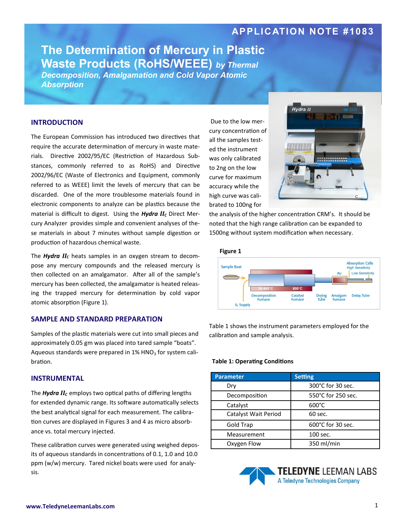## **APPLICATION NOTE #1083**

# **The Determination of Mercury in Plastic Waste Products (RoHS/WEEE)** *by Thermal*

*Decomposition, Amalgamation and Cold Vapor Atomic Absorption*

#### **INTRODUCTION**

The European Commission has introduced two directives that require the accurate determination of mercury in waste materials. Directive 2002/95/EC (Restriction of Hazardous Substances, commonly referred to as RoHS) and Directive 2002/96/EC (Waste of Electronics and Equipment, commonly referred to as WEEE) limit the levels of mercury that can be discarded. One of the more troublesome materials found in electronic components to analyze can be plastics because the material is difficult to digest. Using the *Hydra II<sub>C</sub>* Direct Mercury Analyzer provides simple and convenient analyses of these materials in about 7 minutes without sample digestion or production of hazardous chemical waste.

The *Hydra II<sup>C</sup>* heats samples in an oxygen stream to decompose any mercury compounds and the released mercury is then collected on an amalgamator. After all of the sample's mercury has been collected, the amalgamator is heated releasing the trapped mercury for determination by cold vapor atomic absorption (Figure 1).

### **SAMPLE AND STANDARD PREPARATION**

Samples of the plastic materials were cut into small pieces and approximately 0.05 gm was placed into tared sample "boats". Aqueous standards were prepared in  $1\%$  HNO<sub>3</sub> for system calibration.

#### **INSTRUMENTAL**

The *Hydra IIC* employs two optical paths of differing lengths for extended dynamic range. Its software automatically selects the best analytical signal for each measurement. The calibration curves are displayed in Figures 3 and 4 as micro absorbance vs. total mercury injected.

These calibration curves were generated using weighed deposits of aqueous standards in concentrations of 0.1, 1.0 and 10.0 ppm (w/w) mercury. Tared nickel boats were used for analysis.

Due to the low mercury concentration of all the samples tested the instrument was only calibrated to 2ng on the low curve for maximum accuracy while the high curve was calibrated to 100ng for



the analysis of the higher concentration CRM's. It should be noted that the high range calibration can be expanded to 1500ng without system modification when necessary.



Table 1 shows the instrument parameters employed for the calibration and sample analysis.

#### **Table 1: Operating Conditions**

| <b>Parameter</b>     | Setting            |  |
|----------------------|--------------------|--|
| Dry                  | 300°C for 30 sec.  |  |
| Decomposition        | 550°C for 250 sec. |  |
| Catalyst             | $600^{\circ}$ C    |  |
| Catalyst Wait Period | 60 sec.            |  |
| <b>Gold Trap</b>     | 600°C for 30 sec.  |  |
| Measurement          | 100 sec.           |  |
| Oxygen Flow          | 350 ml/min         |  |